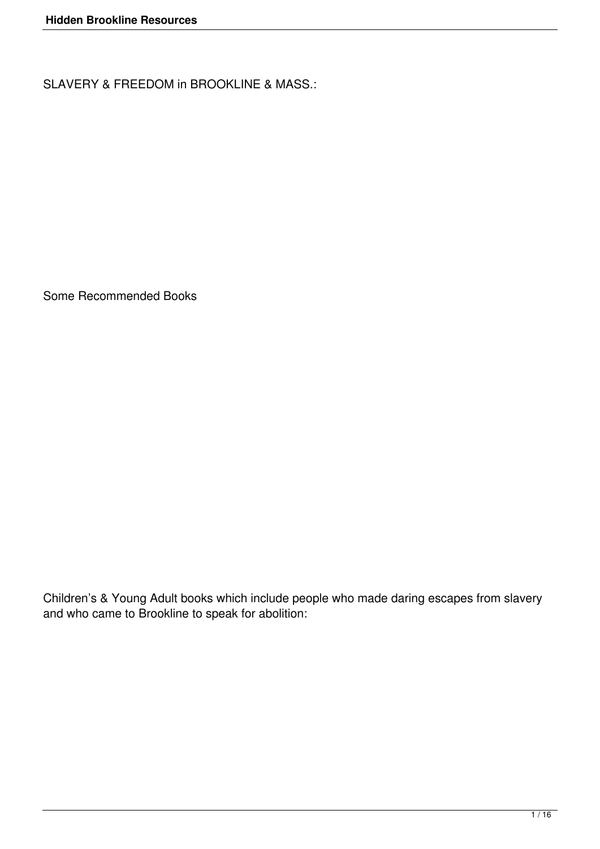SLAVERY & FREEDOM in BROOKLINE & MASS.:

Some Recommended Books

Children's & Young Adult books which include people who made daring escapes from slavery and who came to Brookline to speak for abolition: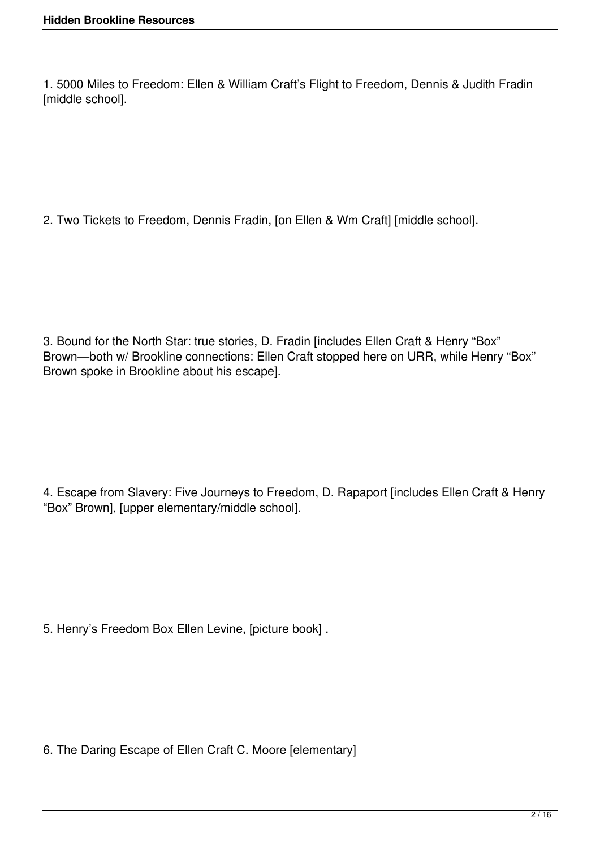1. 5000 Miles to Freedom: Ellen & William Craft's Flight to Freedom, Dennis & Judith Fradin [middle school].

2. Two Tickets to Freedom, Dennis Fradin, [on Ellen & Wm Craft] [middle school].

3. Bound for the North Star: true stories, D. Fradin [includes Ellen Craft & Henry "Box" Brown—both w/ Brookline connections: Ellen Craft stopped here on URR, while Henry "Box" Brown spoke in Brookline about his escape].

4. Escape from Slavery: Five Journeys to Freedom, D. Rapaport [includes Ellen Craft & Henry "Box" Brown], [upper elementary/middle school].

5. Henry's Freedom Box Ellen Levine, [picture book] .

6. The Daring Escape of Ellen Craft C. Moore [elementary]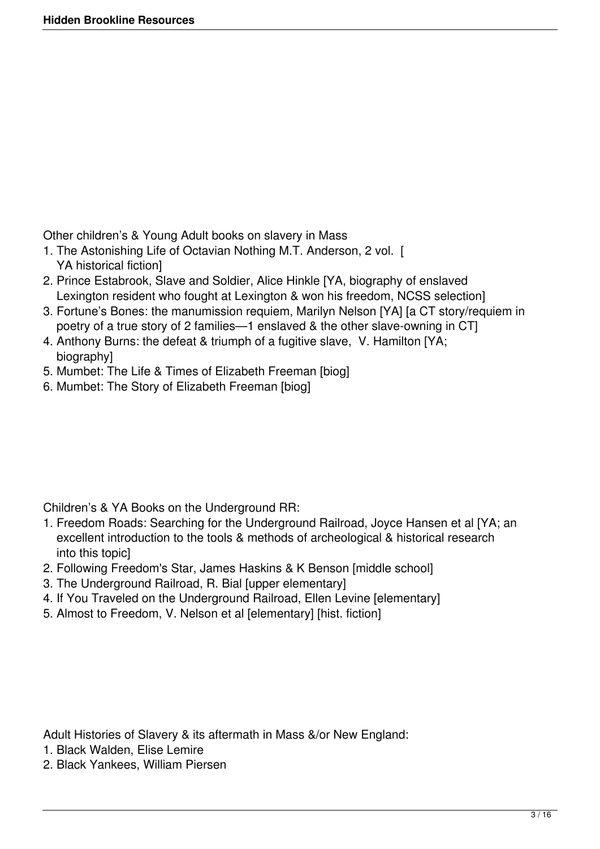Other children's & Young Adult books on slavery in Mass

- 1. The Astonishing Life of Octavian Nothing M.T. Anderson, 2 vol. [ YA historical fiction]
- 2. Prince Estabrook, Slave and Soldier, Alice Hinkle [YA, biography of enslaved Lexington resident who fought at Lexington & won his freedom, NCSS selection]
- 3. Fortune's Bones: the manumission requiem, Marilyn Nelson [YA] [a CT story/requiem in poetry of a true story of 2 families—1 enslaved & the other slave-owning in CT]
- 4. Anthony Burns: the defeat & triumph of a fugitive slave, V. Hamilton [YA; biography]
- 5. Mumbet: The Life & Times of Elizabeth Freeman [biog]
- 6. Mumbet: The Story of Elizabeth Freeman [biog]

Children's & YA Books on the Underground RR:

- 1. Freedom Roads: Searching for the Underground Railroad, Joyce Hansen et al [YA; an excellent introduction to the tools & methods of archeological & historical research into this topic]
- 2. Following Freedom's Star, James Haskins & K Benson [middle school]
- 3. The Underground Railroad, R. Bial [upper elementary]
- 4. If You Traveled on the Underground Railroad, Ellen Levine [elementary]
- 5. Almost to Freedom, V. Nelson et al [elementary] [hist. fiction]

Adult Histories of Slavery & its aftermath in Mass &/or New England:

- 1. Black Walden, Elise Lemire
- 2. Black Yankees, William Piersen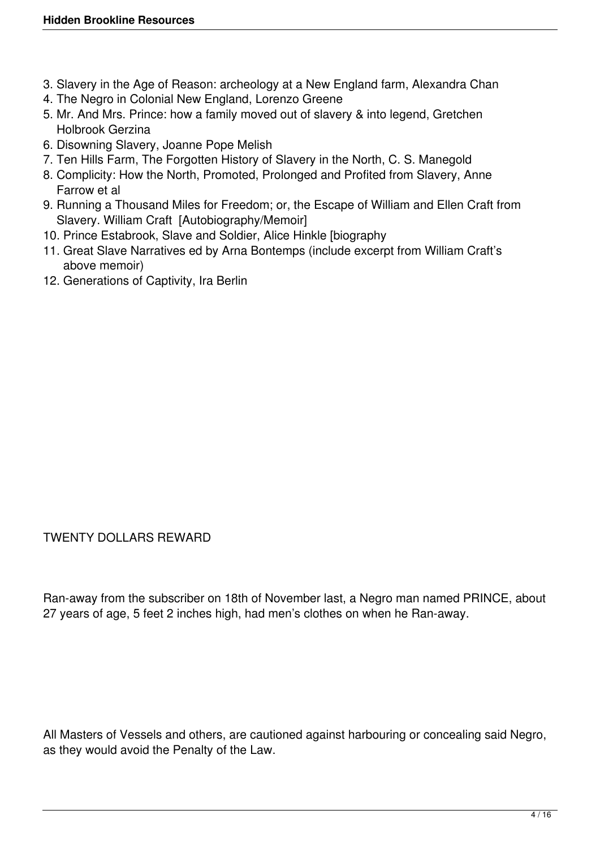- 3. Slavery in the Age of Reason: archeology at a New England farm, Alexandra Chan
- 4. The Negro in Colonial New England, Lorenzo Greene
- 5. Mr. And Mrs. Prince: how a family moved out of slavery & into legend, Gretchen Holbrook Gerzina
- 6. Disowning Slavery, Joanne Pope Melish
- 7. Ten Hills Farm, The Forgotten History of Slavery in the North, C. S. Manegold
- 8. Complicity: How the North, Promoted, Prolonged and Profited from Slavery, Anne Farrow et al
- 9. Running a Thousand Miles for Freedom; or, the Escape of William and Ellen Craft from Slavery. William Craft [Autobiography/Memoir]
- 10. Prince Estabrook, Slave and Soldier, Alice Hinkle [biography
- 11. Great Slave Narratives ed by Arna Bontemps (include excerpt from William Craft's above memoir)
- 12. Generations of Captivity, Ira Berlin

#### TWENTY DOLLARS REWARD

Ran-away from the subscriber on 18th of November last, a Negro man named PRINCE, about 27 years of age, 5 feet 2 inches high, had men's clothes on when he Ran-away.

All Masters of Vessels and others, are cautioned against harbouring or concealing said Negro, as they would avoid the Penalty of the Law.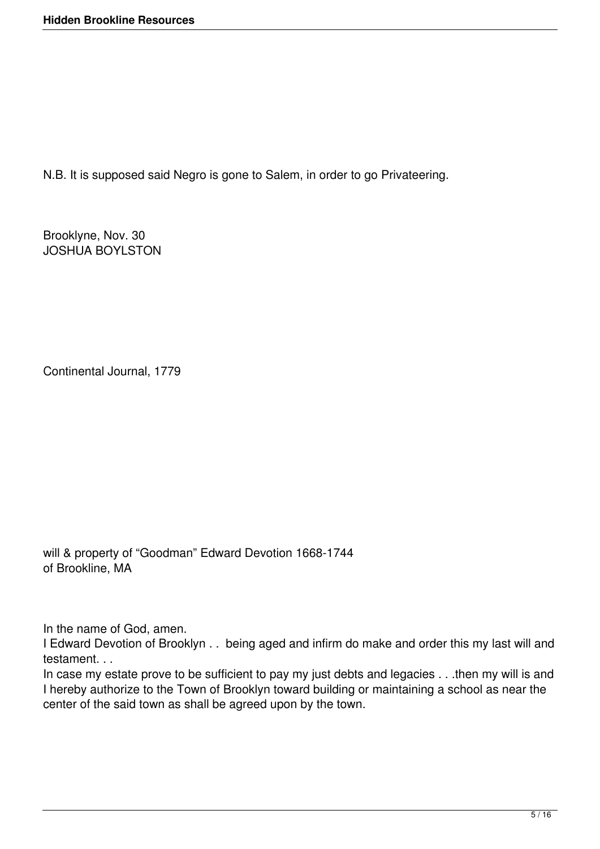N.B. It is supposed said Negro is gone to Salem, in order to go Privateering.

Brooklyne, Nov. 30 JOSHUA BOYLSTON

Continental Journal, 1779

will & property of "Goodman" Edward Devotion 1668-1744 of Brookline, MA

In the name of God, amen.

I Edward Devotion of Brooklyn . . being aged and infirm do make and order this my last will and testament. . .

In case my estate prove to be sufficient to pay my just debts and legacies . . .then my will is and I hereby authorize to the Town of Brooklyn toward building or maintaining a school as near the center of the said town as shall be agreed upon by the town.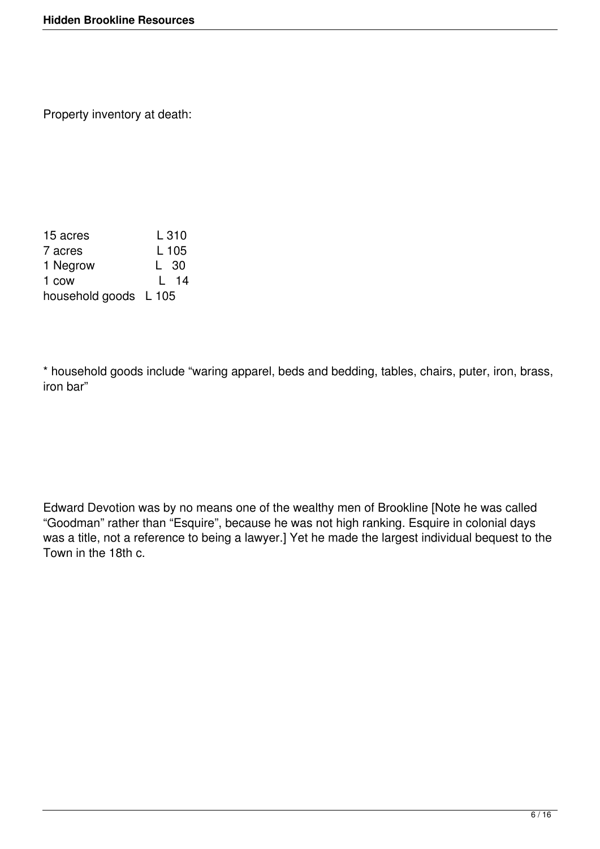Property inventory at death:

| 15 acres              | L 310        |
|-----------------------|--------------|
| 7 acres               | L 105        |
| 1 Negrow              | L 30         |
| 1 cow                 | $1 \quad 14$ |
| household goods L 105 |              |

\* household goods include "waring apparel, beds and bedding, tables, chairs, puter, iron, brass, iron bar"

Edward Devotion was by no means one of the wealthy men of Brookline [Note he was called "Goodman" rather than "Esquire", because he was not high ranking. Esquire in colonial days was a title, not a reference to being a lawyer.] Yet he made the largest individual bequest to the Town in the 18th c.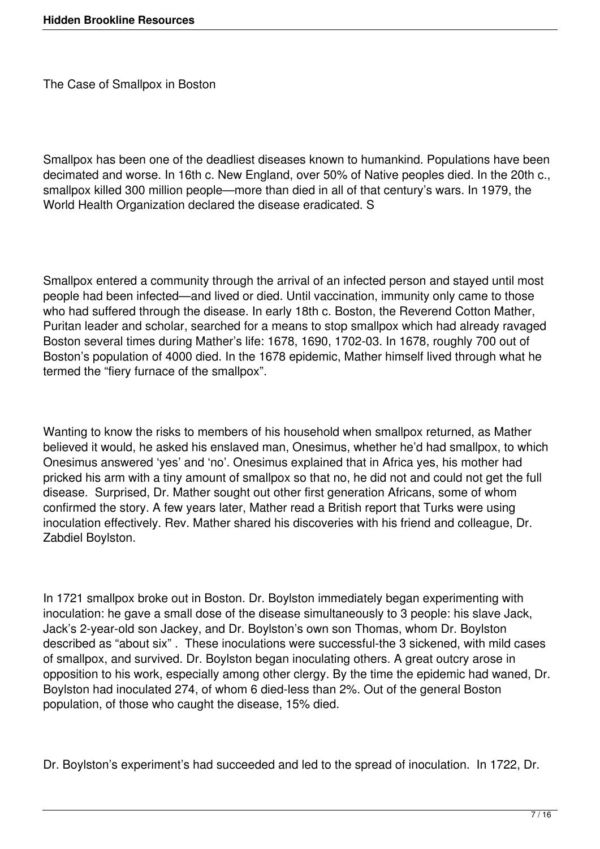The Case of Smallpox in Boston

Smallpox has been one of the deadliest diseases known to humankind. Populations have been decimated and worse. In 16th c. New England, over 50% of Native peoples died. In the 20th c., smallpox killed 300 million people—more than died in all of that century's wars. In 1979, the World Health Organization declared the disease eradicated. S

Smallpox entered a community through the arrival of an infected person and stayed until most people had been infected—and lived or died. Until vaccination, immunity only came to those who had suffered through the disease. In early 18th c. Boston, the Reverend Cotton Mather, Puritan leader and scholar, searched for a means to stop smallpox which had already ravaged Boston several times during Mather's life: 1678, 1690, 1702-03. In 1678, roughly 700 out of Boston's population of 4000 died. In the 1678 epidemic, Mather himself lived through what he termed the "fiery furnace of the smallpox".

Wanting to know the risks to members of his household when smallpox returned, as Mather believed it would, he asked his enslaved man, Onesimus, whether he'd had smallpox, to which Onesimus answered 'yes' and 'no'. Onesimus explained that in Africa yes, his mother had pricked his arm with a tiny amount of smallpox so that no, he did not and could not get the full disease. Surprised, Dr. Mather sought out other first generation Africans, some of whom confirmed the story. A few years later, Mather read a British report that Turks were using inoculation effectively. Rev. Mather shared his discoveries with his friend and colleague, Dr. Zabdiel Boylston.

In 1721 smallpox broke out in Boston. Dr. Boylston immediately began experimenting with inoculation: he gave a small dose of the disease simultaneously to 3 people: his slave Jack, Jack's 2-year-old son Jackey, and Dr. Boylston's own son Thomas, whom Dr. Boylston described as "about six" . These inoculations were successful-the 3 sickened, with mild cases of smallpox, and survived. Dr. Boylston began inoculating others. A great outcry arose in opposition to his work, especially among other clergy. By the time the epidemic had waned, Dr. Boylston had inoculated 274, of whom 6 died-less than 2%. Out of the general Boston population, of those who caught the disease, 15% died.

Dr. Boylston's experiment's had succeeded and led to the spread of inoculation. In 1722, Dr.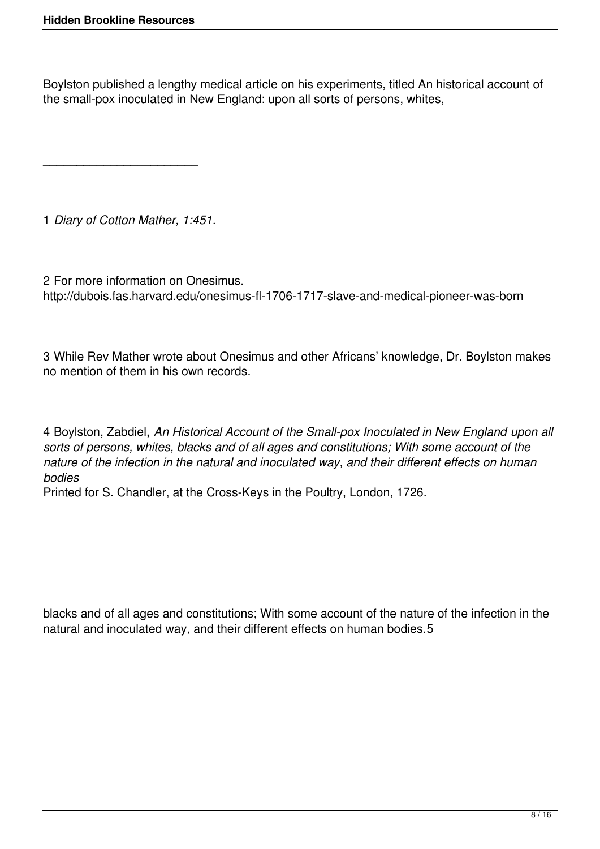Boylston published a lengthy medical article on his experiments, titled An historical account of the small-pox inoculated in New England: upon all sorts of persons, whites,

1 *Diary of Cotton Mather, 1:451.*

\_\_\_\_\_\_\_\_\_\_\_\_\_\_\_\_\_\_\_\_\_\_\_

2 For more information on Onesimus. http://dubois.fas.harvard.edu/onesimus-fl-1706-1717-slave-and-medical-pioneer-was-born

3 While Rev Mather wrote about Onesimus and other Africans' knowledge, Dr. Boylston makes no mention of them in his own records.

4 Boylston, Zabdiel, *An Historical Account of the Small-pox Inoculated in New England upon all sorts of persons, whites, blacks and of all ages and constitutions; With some account of the nature of the infection in the natural and inoculated way, and their different effects on human bodies*

Printed for S. Chandler, at the Cross-Keys in the Poultry, London, 1726.

blacks and of all ages and constitutions; With some account of the nature of the infection in the natural and inoculated way, and their different effects on human bodies.5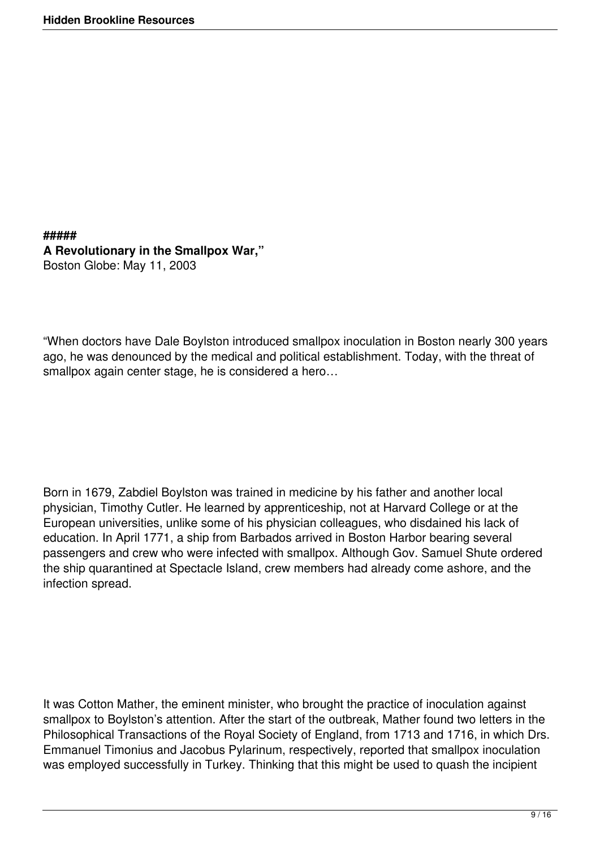**##### A Revolutionary in the Smallpox War,"** Boston Globe: May 11, 2003

"When doctors have Dale Boylston introduced smallpox inoculation in Boston nearly 300 years ago, he was denounced by the medical and political establishment. Today, with the threat of smallpox again center stage, he is considered a hero…

Born in 1679, Zabdiel Boylston was trained in medicine by his father and another local physician, Timothy Cutler. He learned by apprenticeship, not at Harvard College or at the European universities, unlike some of his physician colleagues, who disdained his lack of education. In April 1771, a ship from Barbados arrived in Boston Harbor bearing several passengers and crew who were infected with smallpox. Although Gov. Samuel Shute ordered the ship quarantined at Spectacle Island, crew members had already come ashore, and the infection spread.

It was Cotton Mather, the eminent minister, who brought the practice of inoculation against smallpox to Boylston's attention. After the start of the outbreak, Mather found two letters in the Philosophical Transactions of the Royal Society of England, from 1713 and 1716, in which Drs. Emmanuel Timonius and Jacobus Pylarinum, respectively, reported that smallpox inoculation was employed successfully in Turkey. Thinking that this might be used to quash the incipient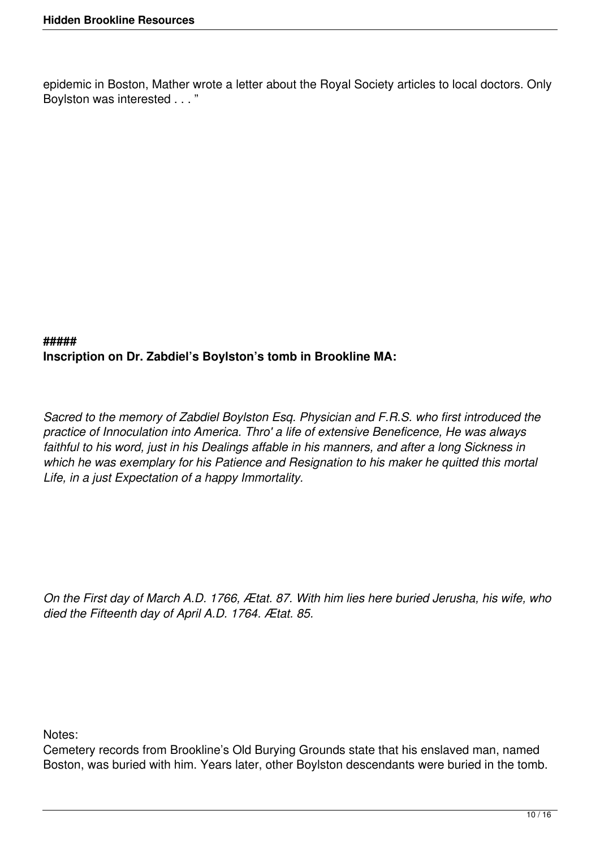epidemic in Boston, Mather wrote a letter about the Royal Society articles to local doctors. Only Boylston was interested . . . "

## **##### Inscription on Dr. Zabdiel's Boylston's tomb in Brookline MA:**

*Sacred to the memory of Zabdiel Boylston Esq. Physician and F.R.S. who first introduced the practice of Innoculation into America. Thro' a life of extensive Beneficence, He was always faithful to his word, just in his Dealings affable in his manners, and after a long Sickness in which he was exemplary for his Patience and Resignation to his maker he quitted this mortal Life, in a just Expectation of a happy Immortality.*

*On the First day of March A.D. 1766, Ætat. 87. With him lies here buried Jerusha, his wife, who died the Fifteenth day of April A.D. 1764. Ætat. 85.*

Notes:

Cemetery records from Brookline's Old Burying Grounds state that his enslaved man, named Boston, was buried with him. Years later, other Boylston descendants were buried in the tomb.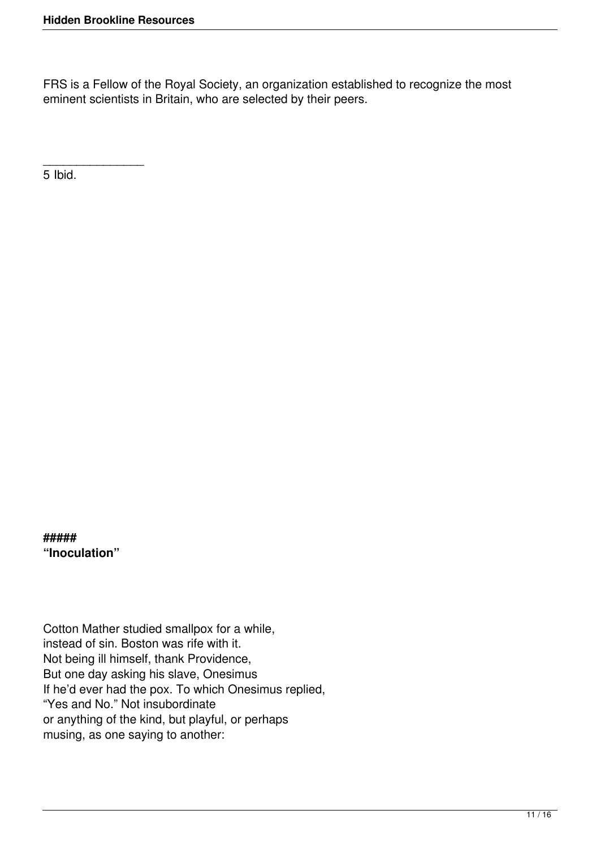FRS is a Fellow of the Royal Society, an organization established to recognize the most eminent scientists in Britain, who are selected by their peers.

5 Ibid.

\_\_\_\_\_\_\_\_\_\_\_\_\_\_\_

**##### "Inoculation"**

Cotton Mather studied smallpox for a while, instead of sin. Boston was rife with it. Not being ill himself, thank Providence, But one day asking his slave, Onesimus If he'd ever had the pox. To which Onesimus replied, "Yes and No." Not insubordinate or anything of the kind, but playful, or perhaps musing, as one saying to another: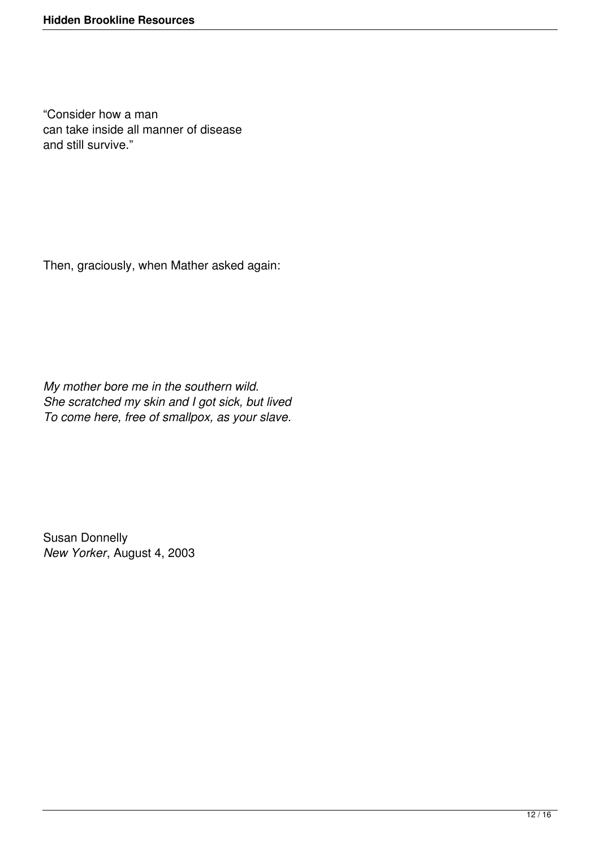"Consider how a man can take inside all manner of disease and still survive."

Then, graciously, when Mather asked again:

*My mother bore me in the southern wild. She scratched my skin and I got sick, but lived To come here, free of smallpox, as your slave.*

Susan Donnelly *New Yorker*, August 4, 2003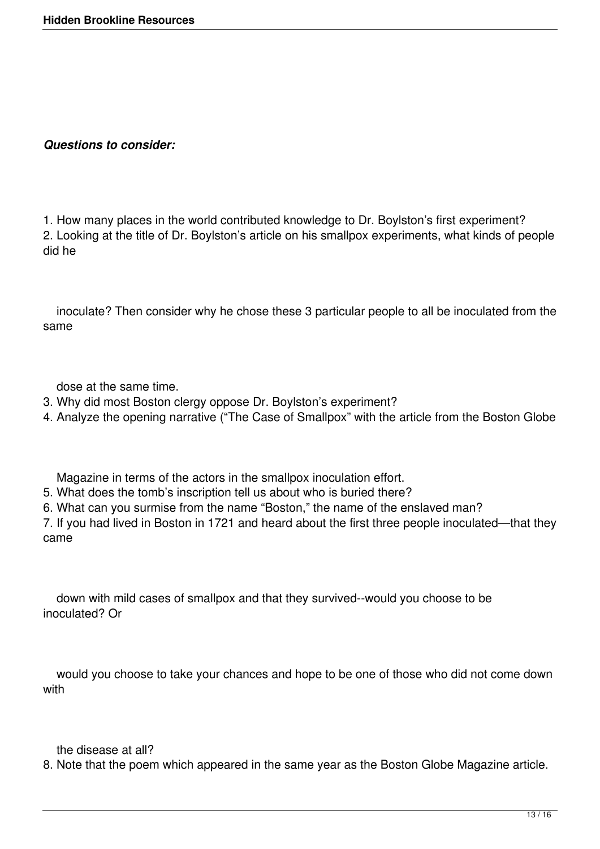#### *Questions to consider:*

1. How many places in the world contributed knowledge to Dr. Boylston's first experiment? 2. Looking at the title of Dr. Boylston's article on his smallpox experiments, what kinds of people did he

 inoculate? Then consider why he chose these 3 particular people to all be inoculated from the same

dose at the same time.

- 3. Why did most Boston clergy oppose Dr. Boylston's experiment?
- 4. Analyze the opening narrative ("The Case of Smallpox" with the article from the Boston Globe

Magazine in terms of the actors in the smallpox inoculation effort.

- 5. What does the tomb's inscription tell us about who is buried there?
- 6. What can you surmise from the name "Boston," the name of the enslaved man?

7. If you had lived in Boston in 1721 and heard about the first three people inoculated—that they came

 down with mild cases of smallpox and that they survived--would you choose to be inoculated? Or

 would you choose to take your chances and hope to be one of those who did not come down with

the disease at all?

8. Note that the poem which appeared in the same year as the Boston Globe Magazine article.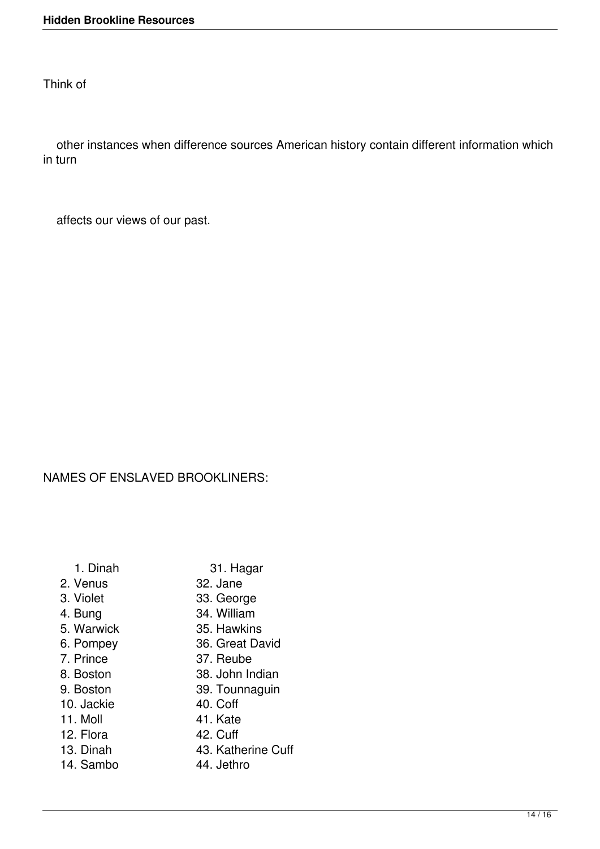Think of

 other instances when difference sources American history contain different information which in turn

affects our views of our past.

### NAMES OF ENSLAVED BROOKLINERS:

| 1. Dinah   | 31. Hagar          |
|------------|--------------------|
| 2. Venus   | 32. Jane           |
| 3. Violet  | 33. George         |
| 4. Bung    | 34. William        |
| 5. Warwick | 35. Hawkins        |
| 6. Pompey  | 36. Great David    |
| 7. Prince  | 37. Reube          |
| 8. Boston  | 38. John Indian    |
| 9. Boston  | 39. Tounnaguin     |
| 10. Jackie | 40. Coff           |
| 11. Moll   | 41. Kate           |
|            |                    |
| 12. Flora  | 42. Cuff           |
| 13. Dinah  | 43. Katherine Cuff |
| 14. Sambo  | 44. Jethro         |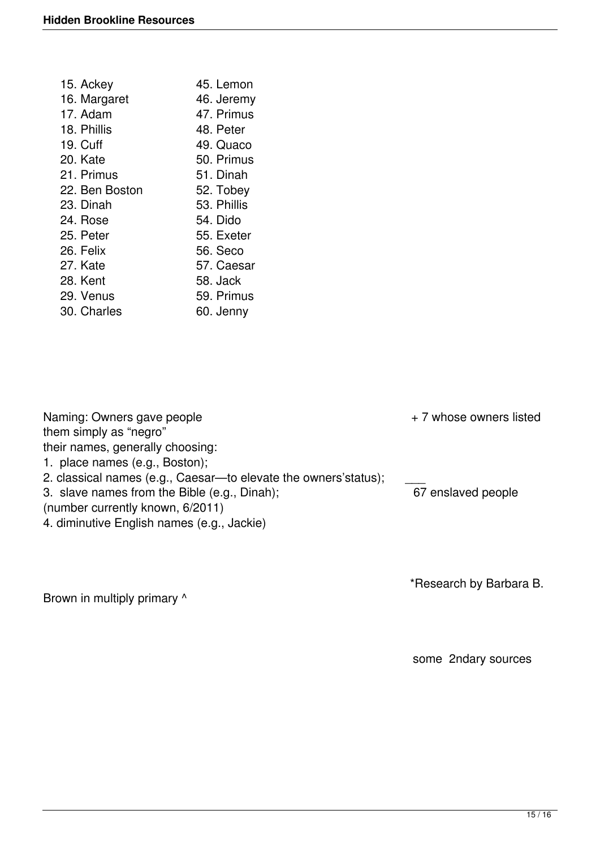| 15. Ackey       | 45. Lemon   |
|-----------------|-------------|
| 16. Margaret    | 46. Jeremy  |
| 17. Adam        | 47. Primus  |
| 18. Phillis     | 48. Peter   |
| <b>19. Cuff</b> | 49. Quaco   |
| 20. Kate        | 50. Primus  |
| 21. Primus      | 51. Dinah   |
| 22. Ben Boston  | 52. Tobey   |
| 23. Dinah       | 53. Phillis |
| 24. Rose        | 54. Dido    |
| 25. Peter       | 55. Exeter  |
| 26. Felix       | 56. Seco    |
| 27. Kate        | 57. Caesar  |
| 28. Kent        | 58. Jack    |
| 29. Venus       | 59. Primus  |
| 30. Charles     | 60. Jenny   |
|                 |             |

Naming: Owners gave people **Naming:** Owners gave people them simply as "negro" their names, generally choosing: 1. place names (e.g., Boston); 2. classical names (e.g., Caesar—to elevate the owners'status);  $\frac{1}{67}$  enslaved people 3. slave names from the Bible (e.g., Dinah); 3. slave names from the Bible (e.g., Dinah); (number currently known, 6/2011) 4. diminutive English names (e.g., Jackie)

\*Research by Barbara B.

Brown in multiply primary  $\wedge$ 

some 2ndary sources